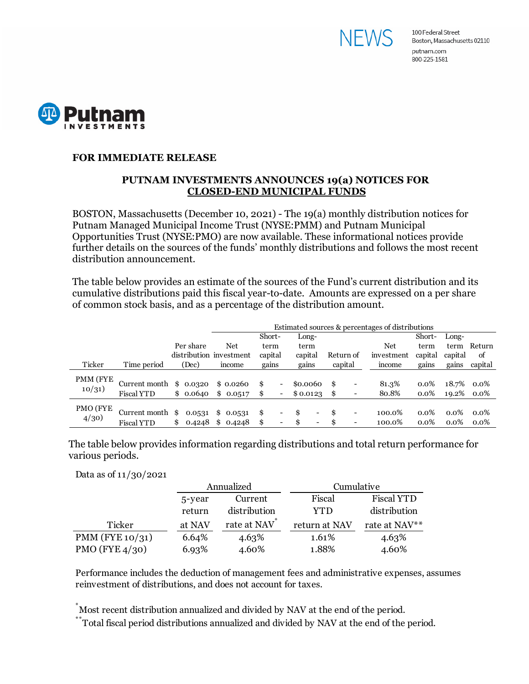



## **FOR IMMEDIATE RELEASE**

## **PUTNAM INVESTMENTS ANNOUNCES 19(a) NOTICES FOR CLOSED-END MUNICIPAL FUNDS**

BOSTON, Massachusetts (December 10, 2021) - The 19(a) monthly distribution notices for Putnam Managed Municipal Income Trust (NYSE:PMM) and Putnam Municipal Opportunities Trust (NYSE:PMO) are now available. These informational notices provide further details on the sources of the funds' monthly distributions and follows the most recent distribution announcement.

The table below provides an estimate of the sources of the Fund's current distribution and its cumulative distributions paid this fiscal year-to-date. Amounts are expressed on a per share of common stock basis, and as a percentage of the distribution amount.

|          |                   |     |                         | Estimated sources & percentages of distributions |          |         |                          |          |                              |    |                          |            |         |            |         |
|----------|-------------------|-----|-------------------------|--------------------------------------------------|----------|---------|--------------------------|----------|------------------------------|----|--------------------------|------------|---------|------------|---------|
|          |                   |     |                         |                                                  |          | Short-  |                          | Long-    |                              |    |                          |            | Short-  | Long-      |         |
|          |                   |     | Per share               |                                                  | Net      | term    |                          | term     |                              |    |                          | Net        | term    | term       | Return  |
|          |                   |     | distribution investment |                                                  |          | capital |                          | capital  |                              |    | Return of                | investment | capital | capital    | of      |
| Ticker   | Time period       |     | (Dec)                   |                                                  | income   | gains   |                          | gains    |                              |    | capital                  | income     | gains   | gains      | capital |
| PMM (FYE |                   |     |                         |                                                  |          |         |                          |          |                              |    |                          |            |         |            |         |
|          | Current month     |     | \$0.0320                |                                                  | \$0.0260 | \$      | Ξ.                       | \$0.0060 |                              | \$ | -                        | 81.3%      | $0.0\%$ | 18.7%      | 0.0%    |
| 10/31)   | <b>Fiscal YTD</b> |     | \$0.0640                |                                                  | \$0.0517 | \$      | $\blacksquare$           | \$0.0123 |                              | \$ | ۰                        | 80.8%      | $0.0\%$ | 19.2% 0.0% |         |
| PMO (FYE |                   |     |                         |                                                  |          |         |                          |          |                              |    |                          |            |         |            |         |
| 4/30     | Current month     | -SS | 0.0531                  |                                                  | \$0.0531 | \$      | -                        | \$.      | $\qquad \qquad \blacksquare$ | \$ | $\overline{\phantom{a}}$ | 100.0%     | $0.0\%$ | $0.0\%$    | $0.0\%$ |
|          | <b>Fiscal YTD</b> | \$  | 0.4248                  |                                                  | \$0.4248 | \$      | $\overline{\phantom{0}}$ |          | $\qquad \qquad \blacksquare$ | S. | $\overline{\phantom{0}}$ | 100.0%     | $0.0\%$ | $0.0\%$    | $0.0\%$ |

The table below provides information regarding distributions and total return performance for various periods.

Data as of 11/30/2021

|                    |        | Annualized   | Cumulative    |                   |  |  |
|--------------------|--------|--------------|---------------|-------------------|--|--|
|                    | 5-year | Current      | Fiscal        | <b>Fiscal YTD</b> |  |  |
|                    | return | distribution | YTD           | distribution      |  |  |
| Ticker             | at NAV | rate at NAV  | return at NAV | rate at NAV**     |  |  |
| PMM (FYE $10/31$ ) | 6.64%  | 4.63%        | 1.61%         | 4.63%             |  |  |
| PMO (FYE $4/30$ )  | 6.93%  | 4.60%        | 1.88%         | 4.60%             |  |  |

Performance includes the deduction of management fees and administrative expenses, assumes reinvestment of distributions, and does not account for taxes.

\* Most recent distribution annualized and divided by NAV at the end of the period.

\*\*Total fiscal period distributions annualized and divided by NAV at the end of the period.